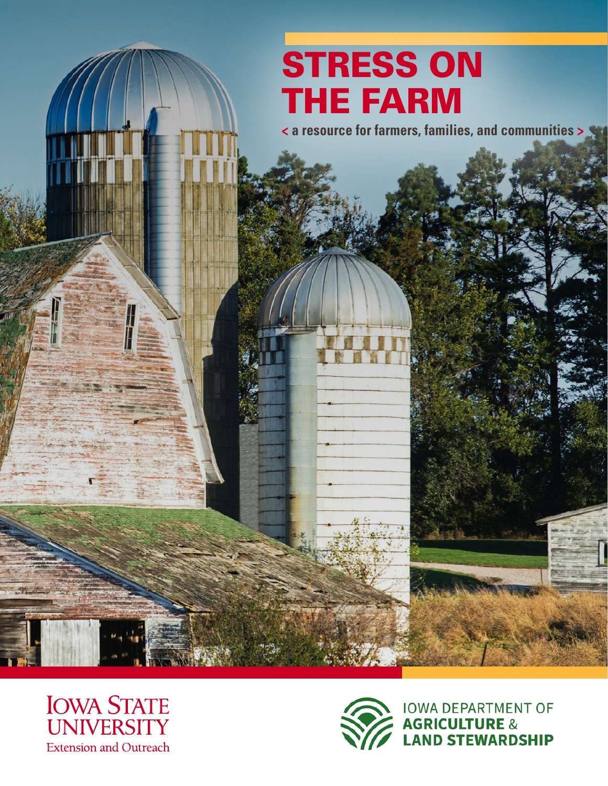# **STRESS ON** THE FARM

**< a resource for farmers, families, and communities >**



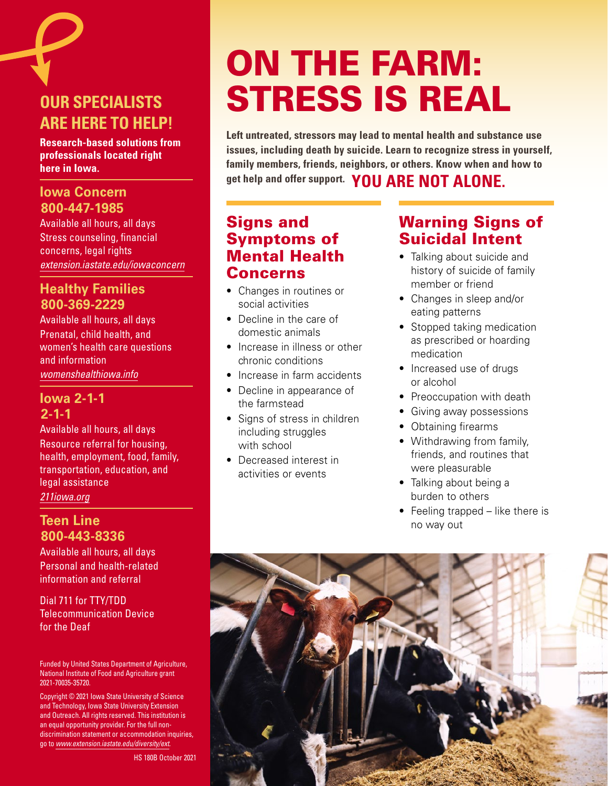## **OUR SPECIALISTS ARE HERE TO HELP!**

**Research-based solutions from professionals located right here in Iowa.**

### **Iowa Concern 800-447-1985**

Available all hours, all days Stress counseling, financial concerns, legal rights *[extension.iastate.edu/iowaconcern](https://www.extension.iastate.edu/iowaconcern)*

## **Healthy Families 800-369-2229**

Available all hours, all days Prenatal, child health, and women's health care questions and information *[womenshealthiowa.info](https://www.womenshealthiowa.info/)*

### **Iowa 2-1-1 2-1-1**

Available all hours, all days Resource referral for housing, health, employment, food, family, transportation, education, and legal assistance *21[1iowa.org](http://www.211iowa.org)*

### **Teen Line 800-443-8336**

Available all hours, all days Personal and health-related information and referral

Dial 711 for TTY/TDD Telecommunication Device for the Deaf

Funded by United States Department of Agriculture, National Institute of Food and Agriculture grant 2021-70035-35720.

Copyright © 2021 Iowa State University of Science and Technology, Iowa State University Extension and Outreach. All rights reserved. This institution is an equal opportunity provider. For the full nondiscrimination statement or accommodation inquiries, go to *[www.extension.iastate.edu/diversity/ext](https://www.extension.iastate.edu/diversity/ext)*.

HS 180B October 2021

# ON THE FARM: STRESS IS REAL

**Left untreated, stressors may lead to mental health and substance use issues, including death by suicide. Learn to recognize stress in yourself, family members, friends, neighbors, or others. Know when and how to get help and offer support. YOU ARE NOT ALONE.**

## Signs and Symptoms of Mental Health Concerns

- Changes in routines or social activities
- Decline in the care of domestic animals
- Increase in illness or other chronic conditions
- Increase in farm accidents
- Decline in appearance of the farmstead
- Signs of stress in children including struggles with school
- Decreased interest in activities or events

## Warning Signs of Suicidal Intent

- Talking about suicide and history of suicide of family member or friend
- Changes in sleep and/or eating patterns
- Stopped taking medication as prescribed or hoarding medication
- Increased use of drugs or alcohol
- Preoccupation with death
- Giving away possessions
- Obtaining firearms
- Withdrawing from family, friends, and routines that were pleasurable
- Talking about being a burden to others
- Feeling trapped like there is no way out

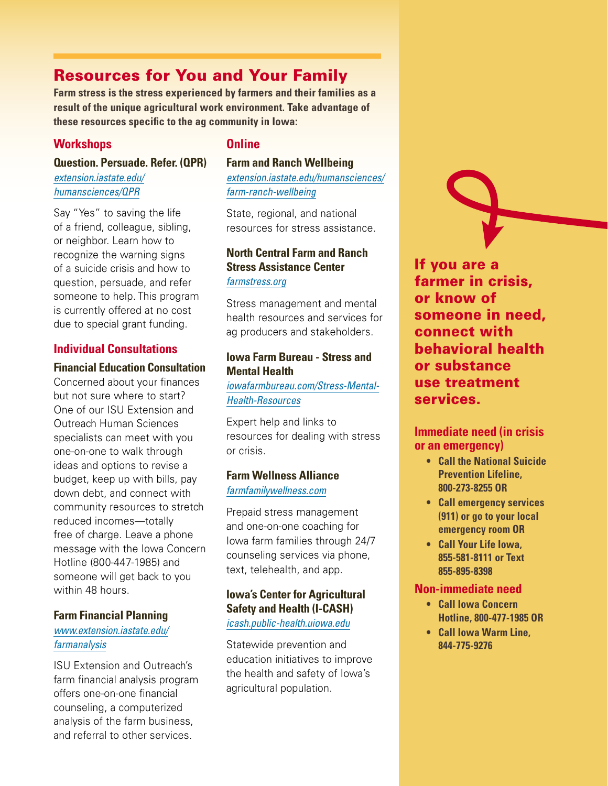## Resources for You and Your Family

**Farm stress is the stress experienced by farmers and their families as a result of the unique agricultural work environment. Take advantage of these resources specific to the ag community in Iowa:**

#### **Workshops**

**Question. Persuade. Refer. (QPR)** 

*[extension.iastate.edu/](https://www.extension.iastate.edu/humansciences/QPR) [humansciences/QPR](https://www.extension.iastate.edu/humansciences/QPR)*

Say "Yes" to saving the life of a friend, colleague, sibling, or neighbor. Learn how to recognize the warning signs of a suicide crisis and how to question, persuade, and refer someone to help. This program is currently offered at no cost due to special grant funding.

#### **Individual Consultations**

#### **Financial Education Consultation**

Concerned about your finances but not sure where to start? One of our ISU Extension and Outreach Human Sciences specialists can meet with you one-on-one to walk through ideas and options to revise a budget, keep up with bills, pay down debt, and connect with community resources to stretch reduced incomes—totally free of charge. Leave a phone message with the Iowa Concern Hotline (800-447-1985) and someone will get back to you within 48 hours.

#### **Farm Financial Planning**

#### *www[.extension.iastate.edu/](https://www.extension.iastate.edu/farmanalysis) [farmanalysis](https://www.extension.iastate.edu/farmanalysis)*

ISU Extension and Outreach's farm financial analysis program offers one-on-one financial counseling, a computerized analysis of the farm business, and referral to other services.

#### **Online**

#### **Farm and Ranch Wellbeing**

*[extension.iastate.edu/humansciences/](https://www.extension.iastate.edu/humansciences/farm-ranch-wellbeing) [farm-ranch-wellbeing](https://www.extension.iastate.edu/humansciences/farm-ranch-wellbeing)*

State, regional, and national resources for stress assistance.

#### **North Central Farm and Ranch Stress Assistance Center** *f[armstress.org](https://farmstress.org)*

Stress management and mental health resources and services for ag producers and stakeholders.

#### **Iowa Farm Bureau - Stress and Mental Health**

*[iowafarmbureau.com/Stress-Mental-](https://www.iowafarmbureau.com/Stress-Mental-Health-Resources)[Health-Resources](https://www.iowafarmbureau.com/Stress-Mental-Health-Resources)*

Expert help and links to resources for dealing with stress or crisis.

#### **Farm Wellness Alliance** *[farmfamilywellness.com](https://farmfamilywellness.com)*

Prepaid stress management and one-on-one coaching for Iowa farm families through 24/7 counseling services via phone, text, telehealth, and app.

#### **Iowa's Center for Agricultural Safety and Health (I-CASH)**

#### *[icash.public-health.uiowa.edu](https://icash.public-health.uiowa.edu)*

Statewide prevention and education initiatives to improve the health and safety of Iowa's agricultural population.

If you are a farmer in crisis, or know of someone in need, connect with behavioral health or substance use treatment services.

#### **Immediate need (in crisis or an emergency)**

- **• Call the National Suicide Prevention Lifeline, 800-273-8255 OR**
- **• Call emergency services (911) or go to your local emergency room OR**
- **• Call Your Life Iowa, 855-581-8111 or Text 855-895-8398**

#### **Non-immediate need**

- **• Call Iowa Concern Hotline, 800-477-1985 OR**
- **• Call Iowa Warm Line, 844-775-9276**